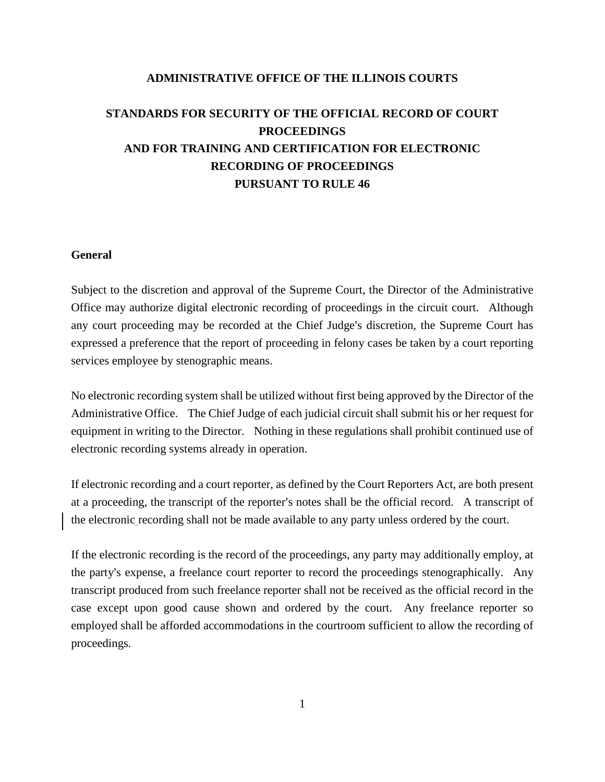# **ADMINISTRATIVE OFFICE OF THE ILLINOIS COURTS**

# **STANDARDS FOR SECURITY OF THE OFFICIAL RECORD OF COURT PROCEEDINGS AND FOR TRAINING AND CERTIFICATION FOR ELECTRONIC RECORDING OF PROCEEDINGS PURSUANT TO RULE 46**

# **General**

Subject to the discretion and approval of the Supreme Court, the Director of the Administrative Office may authorize digital electronic recording of proceedings in the circuit court. Although any court proceeding may be recorded at the Chief Judge's discretion, the Supreme Court has expressed a preference that the report of proceeding in felony cases be taken by a court reporting services employee by stenographic means.

No electronic recording system shall be utilized without first being approved by the Director of the Administrative Office. The Chief Judge of each judicial circuit shall submit his or her request for equipment in writing to the Director. Nothing in these regulations shall prohibit continued use of electronic recording systems already in operation.

If electronic recording and a court reporter, as defined by the Court Reporters Act, are both present at a proceeding, the transcript of the reporter's notes shall be the official record. A transcript of the electronic recording shall not be made available to any party unless ordered by the court.

If the electronic recording is the record of the proceedings, any party may additionally employ, at the party's expense, a freelance court reporter to record the proceedings stenographically. Any transcript produced from such freelance reporter shall not be received as the official record in the case except upon good cause shown and ordered by the court. Any freelance reporter so employed shall be afforded accommodations in the courtroom sufficient to allow the recording of proceedings.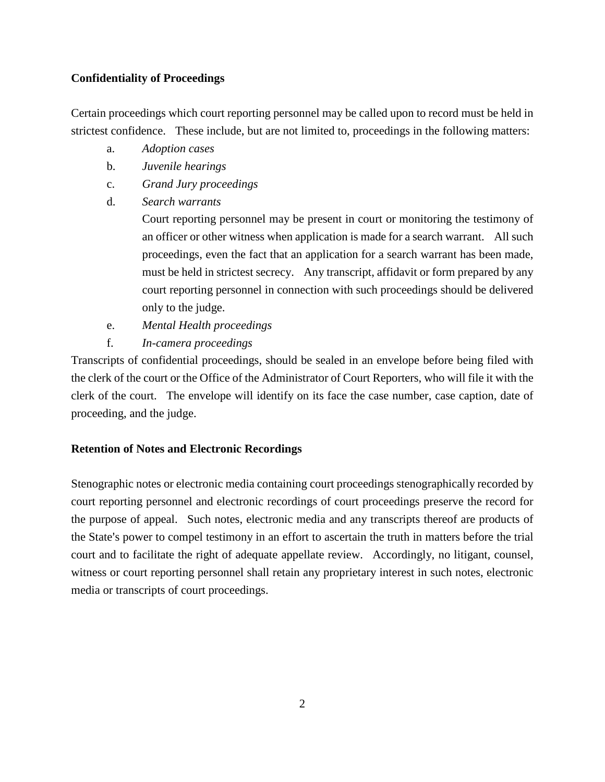# **Confidentiality of Proceedings**

Certain proceedings which court reporting personnel may be called upon to record must be held in strictest confidence. These include, but are not limited to, proceedings in the following matters:

- a. *Adoption cases*
- b. *Juvenile hearings*
- c. *Grand Jury proceedings*
- d. *Search warrants*

Court reporting personnel may be present in court or monitoring the testimony of an officer or other witness when application is made for a search warrant. All such proceedings, even the fact that an application for a search warrant has been made, must be held in strictest secrecy. Any transcript, affidavit or form prepared by any court reporting personnel in connection with such proceedings should be delivered only to the judge.

- e. *Mental Health proceedings*
- f. *In-camera proceedings*

Transcripts of confidential proceedings, should be sealed in an envelope before being filed with the clerk of the court or the Office of the Administrator of Court Reporters, who will file it with the clerk of the court. The envelope will identify on its face the case number, case caption, date of proceeding, and the judge.

# **Retention of Notes and Electronic Recordings**

Stenographic notes or electronic media containing court proceedings stenographically recorded by court reporting personnel and electronic recordings of court proceedings preserve the record for the purpose of appeal. Such notes, electronic media and any transcripts thereof are products of the State's power to compel testimony in an effort to ascertain the truth in matters before the trial court and to facilitate the right of adequate appellate review. Accordingly, no litigant, counsel, witness or court reporting personnel shall retain any proprietary interest in such notes, electronic media or transcripts of court proceedings.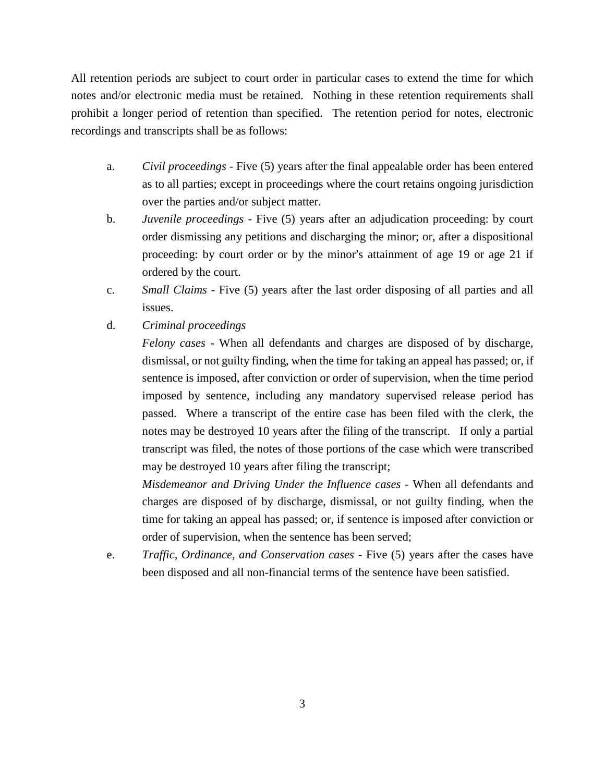All retention periods are subject to court order in particular cases to extend the time for which notes and/or electronic media must be retained. Nothing in these retention requirements shall prohibit a longer period of retention than specified. The retention period for notes, electronic recordings and transcripts shall be as follows:

- a. *Civil proceedings*  Five (5) years after the final appealable order has been entered as to all parties; except in proceedings where the court retains ongoing jurisdiction over the parties and/or subject matter.
- b. *Juvenile proceedings*  Five (5) years after an adjudication proceeding: by court order dismissing any petitions and discharging the minor; or, after a dispositional proceeding: by court order or by the minor's attainment of age 19 or age 21 if ordered by the court.
- c. *Small Claims*  Five (5) years after the last order disposing of all parties and all issues.
- d. *Criminal proceedings*

*Felony cases* - When all defendants and charges are disposed of by discharge, dismissal, or not guilty finding, when the time for taking an appeal has passed; or, if sentence is imposed, after conviction or order of supervision, when the time period imposed by sentence, including any mandatory supervised release period has passed. Where a transcript of the entire case has been filed with the clerk, the notes may be destroyed 10 years after the filing of the transcript. If only a partial transcript was filed, the notes of those portions of the case which were transcribed may be destroyed 10 years after filing the transcript;

*Misdemeanor and Driving Under the Influence cases* - When all defendants and charges are disposed of by discharge, dismissal, or not guilty finding, when the time for taking an appeal has passed; or, if sentence is imposed after conviction or order of supervision, when the sentence has been served;

e. *Traffic, Ordinance, and Conservation cases* - Five (5) years after the cases have been disposed and all non-financial terms of the sentence have been satisfied.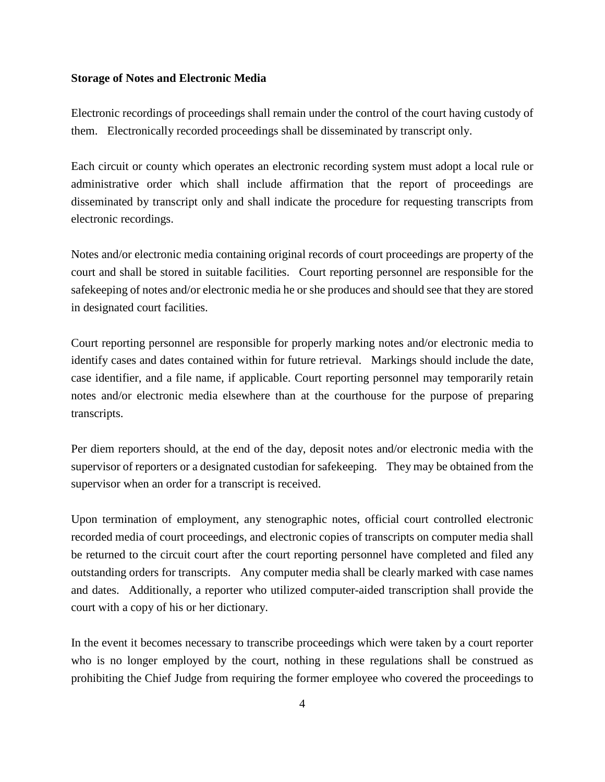#### **Storage of Notes and Electronic Media**

Electronic recordings of proceedings shall remain under the control of the court having custody of them. Electronically recorded proceedings shall be disseminated by transcript only.

Each circuit or county which operates an electronic recording system must adopt a local rule or administrative order which shall include affirmation that the report of proceedings are disseminated by transcript only and shall indicate the procedure for requesting transcripts from electronic recordings.

Notes and/or electronic media containing original records of court proceedings are property of the court and shall be stored in suitable facilities. Court reporting personnel are responsible for the safekeeping of notes and/or electronic media he or she produces and should see that they are stored in designated court facilities.

Court reporting personnel are responsible for properly marking notes and/or electronic media to identify cases and dates contained within for future retrieval. Markings should include the date, case identifier, and a file name, if applicable. Court reporting personnel may temporarily retain notes and/or electronic media elsewhere than at the courthouse for the purpose of preparing transcripts.

Per diem reporters should, at the end of the day, deposit notes and/or electronic media with the supervisor of reporters or a designated custodian for safekeeping. They may be obtained from the supervisor when an order for a transcript is received.

Upon termination of employment, any stenographic notes, official court controlled electronic recorded media of court proceedings, and electronic copies of transcripts on computer media shall be returned to the circuit court after the court reporting personnel have completed and filed any outstanding orders for transcripts. Any computer media shall be clearly marked with case names and dates. Additionally, a reporter who utilized computer-aided transcription shall provide the court with a copy of his or her dictionary.

In the event it becomes necessary to transcribe proceedings which were taken by a court reporter who is no longer employed by the court, nothing in these regulations shall be construed as prohibiting the Chief Judge from requiring the former employee who covered the proceedings to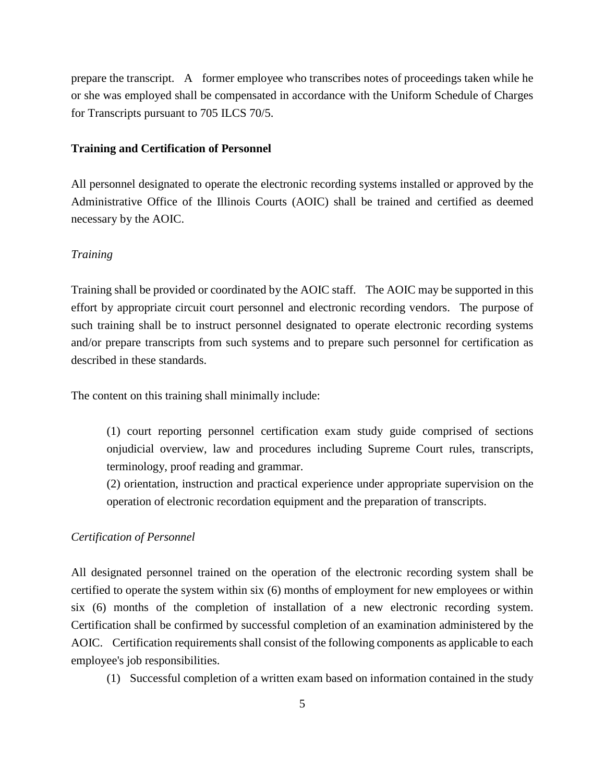prepare the transcript. A former employee who transcribes notes of proceedings taken while he or she was employed shall be compensated in accordance with the Uniform Schedule of Charges for Transcripts pursuant to 705 ILCS 70/5.

## **Training and Certification of Personnel**

All personnel designated to operate the electronic recording systems installed or approved by the Administrative Office of the Illinois Courts (AOIC) shall be trained and certified as deemed necessary by the AOIC.

# *Training*

Training shall be provided or coordinated by the AOIC staff. The AOIC may be supported in this effort by appropriate circuit court personnel and electronic recording vendors. The purpose of such training shall be to instruct personnel designated to operate electronic recording systems and/or prepare transcripts from such systems and to prepare such personnel for certification as described in these standards.

The content on this training shall minimally include:

(1) court reporting personnel certification exam study guide comprised of sections onjudicial overview, law and procedures including Supreme Court rules, transcripts, terminology, proof reading and grammar.

(2) orientation, instruction and practical experience under appropriate supervision on the operation of electronic recordation equipment and the preparation of transcripts.

## *Certification of Personnel*

All designated personnel trained on the operation of the electronic recording system shall be certified to operate the system within six (6) months of employment for new employees or within six (6) months of the completion of installation of a new electronic recording system. Certification shall be confirmed by successful completion of an examination administered by the AOIC. Certification requirements shall consist of the following components as applicable to each employee's job responsibilities.

(1) Successful completion of a written exam based on information contained in the study